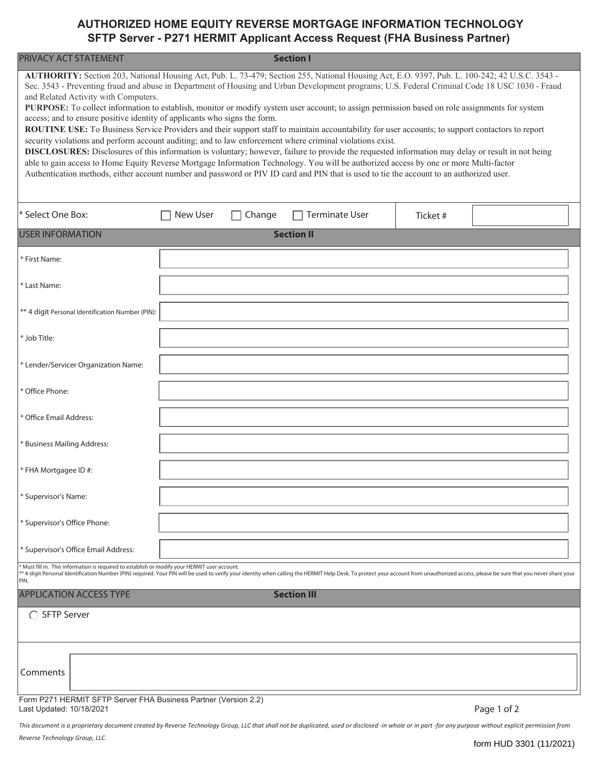## **AUTHORIZED HOME EQUITY REVERSE MORTGAGE INFORMATION TECHNOLOGY SFTP Server - P271 HERMIT Applicant Access Request (FHA Business Partner)**

| PRIVACY ACT STATEMENT<br><b>Section I</b>                                                                                                                                                                                                                                                                                                                                                                                                                                                                                                                                                                                                                                                                                                                                                                                                                                                                                                                                                                                                                                                                                                                                                                                                                                         |                 |        |                       |          |             |  |
|-----------------------------------------------------------------------------------------------------------------------------------------------------------------------------------------------------------------------------------------------------------------------------------------------------------------------------------------------------------------------------------------------------------------------------------------------------------------------------------------------------------------------------------------------------------------------------------------------------------------------------------------------------------------------------------------------------------------------------------------------------------------------------------------------------------------------------------------------------------------------------------------------------------------------------------------------------------------------------------------------------------------------------------------------------------------------------------------------------------------------------------------------------------------------------------------------------------------------------------------------------------------------------------|-----------------|--------|-----------------------|----------|-------------|--|
| AUTHORITY: Section 203, National Housing Act, Pub. L. 73-479; Section 255, National Housing Act, E.O. 9397, Pub. L. 100-242; 42 U.S.C. 3543 -<br>Sec. 3543 - Preventing fraud and abuse in Department of Housing and Urban Development programs; U.S. Federal Criminal Code 18 USC 1030 - Fraud<br>and Related Activity with Computers.<br>PURPOSE: To collect information to establish, monitor or modify system user account; to assign permission based on role assignments for system<br>access; and to ensure positive identity of applicants who signs the form.<br>ROUTINE USE: To Business Service Providers and their support staff to maintain accountability for user accounts; to support contactors to report<br>security violations and perform account auditing; and to law enforcement where criminal violations exist.<br>DISCLOSURES: Disclosures of this information is voluntary; however, failure to provide the requested information may delay or result in not being<br>able to gain access to Home Equity Reverse Mortgage Information Technology. You will be authorized access by one or more Multi-factor<br>Authentication methods, either account number and password or PIV ID card and PIN that is used to tie the account to an authorized user. |                 |        |                       |          |             |  |
| * Select One Box:                                                                                                                                                                                                                                                                                                                                                                                                                                                                                                                                                                                                                                                                                                                                                                                                                                                                                                                                                                                                                                                                                                                                                                                                                                                                 | <b>New User</b> | Change | <b>Terminate User</b> | Ticket # |             |  |
| <b>USER INFORMATION</b>                                                                                                                                                                                                                                                                                                                                                                                                                                                                                                                                                                                                                                                                                                                                                                                                                                                                                                                                                                                                                                                                                                                                                                                                                                                           |                 |        | <b>Section II</b>     |          |             |  |
| * First Name:                                                                                                                                                                                                                                                                                                                                                                                                                                                                                                                                                                                                                                                                                                                                                                                                                                                                                                                                                                                                                                                                                                                                                                                                                                                                     |                 |        |                       |          |             |  |
| * Last Name:                                                                                                                                                                                                                                                                                                                                                                                                                                                                                                                                                                                                                                                                                                                                                                                                                                                                                                                                                                                                                                                                                                                                                                                                                                                                      |                 |        |                       |          |             |  |
| ** 4 digit Personal Identification Number (PIN):                                                                                                                                                                                                                                                                                                                                                                                                                                                                                                                                                                                                                                                                                                                                                                                                                                                                                                                                                                                                                                                                                                                                                                                                                                  |                 |        |                       |          |             |  |
| * Job Title:                                                                                                                                                                                                                                                                                                                                                                                                                                                                                                                                                                                                                                                                                                                                                                                                                                                                                                                                                                                                                                                                                                                                                                                                                                                                      |                 |        |                       |          |             |  |
| * Lender/Servicer Organization Name:                                                                                                                                                                                                                                                                                                                                                                                                                                                                                                                                                                                                                                                                                                                                                                                                                                                                                                                                                                                                                                                                                                                                                                                                                                              |                 |        |                       |          |             |  |
| * Office Phone:                                                                                                                                                                                                                                                                                                                                                                                                                                                                                                                                                                                                                                                                                                                                                                                                                                                                                                                                                                                                                                                                                                                                                                                                                                                                   |                 |        |                       |          |             |  |
| * Office Email Address:                                                                                                                                                                                                                                                                                                                                                                                                                                                                                                                                                                                                                                                                                                                                                                                                                                                                                                                                                                                                                                                                                                                                                                                                                                                           |                 |        |                       |          |             |  |
| * Business Mailing Address:                                                                                                                                                                                                                                                                                                                                                                                                                                                                                                                                                                                                                                                                                                                                                                                                                                                                                                                                                                                                                                                                                                                                                                                                                                                       |                 |        |                       |          |             |  |
| * FHA Mortgagee ID #:                                                                                                                                                                                                                                                                                                                                                                                                                                                                                                                                                                                                                                                                                                                                                                                                                                                                                                                                                                                                                                                                                                                                                                                                                                                             |                 |        |                       |          |             |  |
| * Supervisor's Name:                                                                                                                                                                                                                                                                                                                                                                                                                                                                                                                                                                                                                                                                                                                                                                                                                                                                                                                                                                                                                                                                                                                                                                                                                                                              |                 |        |                       |          |             |  |
| * Supervisor's Office Phone:                                                                                                                                                                                                                                                                                                                                                                                                                                                                                                                                                                                                                                                                                                                                                                                                                                                                                                                                                                                                                                                                                                                                                                                                                                                      |                 |        |                       |          |             |  |
| * Supervisor's Office Email Address:                                                                                                                                                                                                                                                                                                                                                                                                                                                                                                                                                                                                                                                                                                                                                                                                                                                                                                                                                                                                                                                                                                                                                                                                                                              |                 |        |                       |          |             |  |
| * Must fill in. This information is required to establish or modify your HERMIT user account.<br>** 4-digit Personal Identification Number (PIN) required. Your PIN will be used to verify your identity when calling the HERMIT Help Desk. To protect your account from unauthorized access, please be sure that you never sha<br>PIN.                                                                                                                                                                                                                                                                                                                                                                                                                                                                                                                                                                                                                                                                                                                                                                                                                                                                                                                                           |                 |        |                       |          |             |  |
| <b>APPLICATION ACCESS TYPE</b>                                                                                                                                                                                                                                                                                                                                                                                                                                                                                                                                                                                                                                                                                                                                                                                                                                                                                                                                                                                                                                                                                                                                                                                                                                                    |                 |        | <b>Section III</b>    |          |             |  |
| <b>SFTP Server</b>                                                                                                                                                                                                                                                                                                                                                                                                                                                                                                                                                                                                                                                                                                                                                                                                                                                                                                                                                                                                                                                                                                                                                                                                                                                                |                 |        |                       |          |             |  |
|                                                                                                                                                                                                                                                                                                                                                                                                                                                                                                                                                                                                                                                                                                                                                                                                                                                                                                                                                                                                                                                                                                                                                                                                                                                                                   |                 |        |                       |          |             |  |
| Comments                                                                                                                                                                                                                                                                                                                                                                                                                                                                                                                                                                                                                                                                                                                                                                                                                                                                                                                                                                                                                                                                                                                                                                                                                                                                          |                 |        |                       |          |             |  |
| Form P271 HERMIT SFTP Server FHA Business Partner (Version 2.2)<br>Last Updated: 10/18/2021                                                                                                                                                                                                                                                                                                                                                                                                                                                                                                                                                                                                                                                                                                                                                                                                                                                                                                                                                                                                                                                                                                                                                                                       |                 |        |                       |          | Page 1 of 2 |  |

*This document is a proprietary document created by Reverse Technology Group, LLC that shall not be duplicated, used or disclosed -in whole or in part -for any purpose without explicit permission from Reverse Technology Group, LLC.*